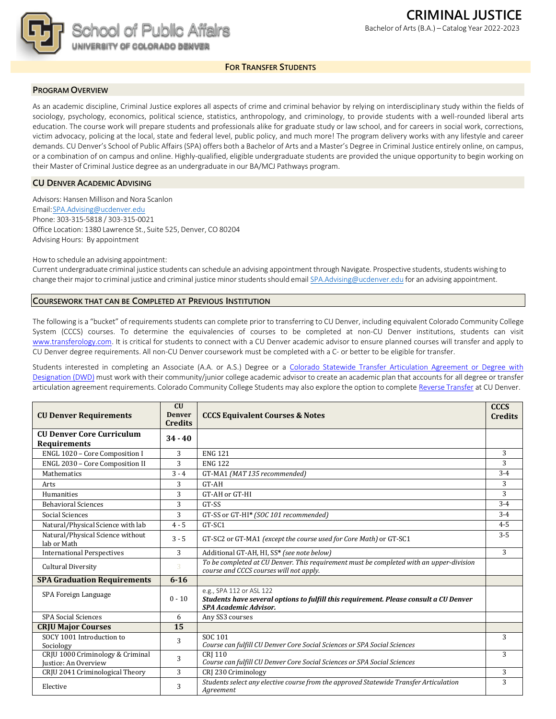

#### **FOR TRANSFER STUDENTS**

### **PROGRAM OVERVIEW**

As an academic discipline, Criminal Justice explores all aspects of crime and criminal behavior by relying on interdisciplinary study within the fields of sociology, psychology, economics, political science, statistics, anthropology, and criminology, to provide students with a well-rounded liberal arts education. The course work will prepare students and professionals alike for graduate study or law school, and for careers in social work, corrections, victim advocacy, policing at the local, state and federal level, public policy, and much more! The program delivery works with any lifestyle and career demands. CU Denver's School of Public Affairs (SPA) offers both a Bachelor of Arts and a Master's Degree in Criminal Justice entirely online, on campus, or a combination of on campus and online. Highly-qualified, eligible undergraduate students are provided the unique opportunity to begin working on their Master of Criminal Justice degree as an undergraduate in our BA/MCJ Pathways program.

## **CU DENVER ACADEMIC ADVISING**

Advisors: Hansen Millison and Nora Scanlon Email[:SPA.Advising@ucdenver.edu](mailto:SPA.Advising@ucdenver.edu) Phone: 303-315-5818 / 303-315-0021 Office Location: 1380 Lawrence St., Suite 525, Denver, CO 80204 Advising Hours: By appointment

Howto schedule an advising appointment:

Current undergraduate criminal justice students can schedule an advising appointment through Navigate. Prospective students, students wishing to change their major to criminal justice and criminal justice minor students should email [SPA.Advising@ucdenver.edu](mailto:SPA.Advising@ucdenver.edu) for an advising appointment.

#### **COURSEWORK THAT CAN BE COMPLETED AT PREVIOUS INSTITUTION**

The following is a "bucket" of requirements students can complete prior to transferring to CU Denver, including equivalent Colorado Community College System (CCCS) courses. To determine the equivalencies of courses to be completed at non-CU Denver institutions, students can visit [www.transferology.com. It](http://www.transferology.com/) is critical for students to connect with a CU Denver academic advisor to ensure planned courses will transfer and apply to CU Denver degree requirements. All non-CU Denver coursework must be completed with a C- or better to be eligible for transfer.

Students interested in completing an Associate (A.A. or A.S.) Degree or a [Colorado Statewide Transfer Articulation Agreement or Degree with](https://highered.colorado.gov/Academics/Transfers/TransferDegrees.html) [Designation](https://highered.colorado.gov/Academics/Transfers/TransferDegrees.html) (DWD) must work with their community/junior college academic advisor to create an academic plan that accounts for all degree or transfer articulation agreement requirements. Colorado Community College Students may also explore the option to complet[e Reverse](https://degreewithinreach.wordpress.com/) Transfer at CU Denver.

| <b>CU Denver Requirements</b>                                                                | CU<br><b>Denver</b><br><b>Credits</b> | <b>CCCS Equivalent Courses &amp; Notes</b>                                                                                         |         |
|----------------------------------------------------------------------------------------------|---------------------------------------|------------------------------------------------------------------------------------------------------------------------------------|---------|
| <b>CU Denver Core Curriculum</b><br><b>Requirements</b>                                      | $34 - 40$                             |                                                                                                                                    |         |
| ENGL 1020 - Core Composition I                                                               | 3                                     | <b>ENG 121</b>                                                                                                                     | 3       |
| ENGL 2030 - Core Composition II                                                              | 3                                     | <b>ENG 122</b>                                                                                                                     | 3       |
| <b>Mathematics</b>                                                                           | $3 - 4$                               | GT-MA1 (MAT 135 recommended)                                                                                                       | $3 - 4$ |
| Arts                                                                                         | 3                                     | GT-AH                                                                                                                              | 3       |
| Humanities                                                                                   | 3                                     | GT-AH or GT-HI                                                                                                                     | 3       |
| <b>Behavioral Sciences</b>                                                                   | 3                                     | GT-SS                                                                                                                              | $3 - 4$ |
| Social Sciences                                                                              | 3                                     | GT-SS or GT-HI* (SOC 101 recommended)                                                                                              | $3 - 4$ |
| Natural/Physical Science with lab                                                            | $4 - 5$                               | GT-SC1                                                                                                                             | $4 - 5$ |
| Natural/Physical Science without<br>lab or Math                                              | $3 - 5$                               | GT-SC2 or GT-MA1 (except the course used for Core Math) or GT-SC1                                                                  | $3 - 5$ |
| <b>International Perspectives</b>                                                            | 3                                     | Additional GT-AH, HI, SS* (see note below)                                                                                         | 3       |
| <b>Cultural Diversity</b>                                                                    | 3                                     | To be completed at CU Denver. This requirement must be completed with an upper-division<br>course and CCCS courses will not apply. |         |
| <b>SPA Graduation Requirements</b>                                                           | $6 - 16$                              |                                                                                                                                    |         |
| e.g., SPA 112 or ASL 122<br>SPA Foreign Language<br>$0 - 10$<br><b>SPA Academic Advisor.</b> |                                       | Students have several options to fulfill this requirement. Please consult a CU Denver                                              |         |
| <b>SPA Social Sciences</b>                                                                   | 6                                     | Any SS3 courses                                                                                                                    |         |
| <b>CRJU Major Courses</b>                                                                    | 15                                    |                                                                                                                                    |         |
| SOCY 1001 Introduction to<br>Sociology                                                       | 3                                     | SOC 101<br>Course can fulfill CU Denver Core Social Sciences or SPA Social Sciences                                                | 3       |
| CRJU 1000 Criminology & Criminal<br>Justice: An Overview                                     | 3                                     | <b>CRI 110</b><br>Course can fulfill CU Denver Core Social Sciences or SPA Social Sciences                                         | 3       |
| CRJU 2041 Criminological Theory                                                              | 3                                     | CRI 230 Criminology                                                                                                                | 3       |
| Elective                                                                                     | 3                                     | Students select any elective course from the approved Statewide Transfer Articulation<br>Agreement                                 | 3       |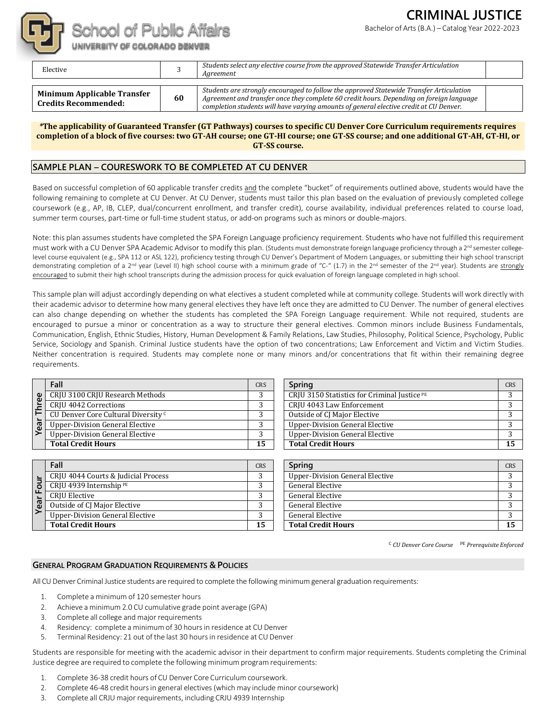

Bachelor of Arts(B.A.) – Catalog Year 2022-2023



# School of Public Affairs

UNIVERSITY OF COLORADO DENVER

| Elective                                                   |    | Students select any elective course from the approved Statewide Transfer Articulation<br>Aareement                                                                                                                                                                            |  |
|------------------------------------------------------------|----|-------------------------------------------------------------------------------------------------------------------------------------------------------------------------------------------------------------------------------------------------------------------------------|--|
| Minimum Applicable Transfer<br><b>Credits Recommended:</b> | 60 | Students are strongly encouraged to follow the approved Statewide Transfer Articulation<br>Agreement and transfer once they complete 60 credit hours. Depending on foreign language<br>completion students will have varying amounts of general elective credit at CU Denver. |  |

*\****The applicability of Guaranteed Transfer (GT Pathways) courses to specific CU Denver Core Curriculum requirements requires completion of a block of five courses: two GT-AH course; one GT-HI course; one GT-SS course; and one additional GT-AH, GT-HI, or GT-SS course.**

# **SAMPLE PLAN – COURESWORK TO BE COMPLETED AT CU DENVER**

Based on successful completion of 60 applicable transfer credits and the complete "bucket" of requirements outlined above, students would have the following remaining to complete at CU Denver. At CU Denver, students must tailor this plan based on the evaluation of previously completed college coursework (e.g., AP, IB, CLEP, dual/concurrent enrollment, and transfer credit), course availability, individual preferences related to course load, summer term courses, part-time or full-time student status, or add-on programs such as minors or double-majors.

Note: this plan assumes students have completed the SPA Foreign Language proficiency requirement. Students who have not fulfilled this requirement must work with a CU Denver SPA Academic Advisor to modify this plan. (Students must demonstrate foreign language proficiency through a 2<sup>nd</sup> semester collegelevel course equivalent (e.g., SPA 112 or ASL 122), proficiency testing through CU Denver's Department of Modern Languages, or submitting their high school transcript demonstrating completion of a 2<sup>nd</sup> year (Level II) high school course with a minimum grade of "C-" (1.7) in the 2<sup>nd</sup> semester of the 2<sup>nd</sup> year). Students are strongly encouraged to submit their high school transcripts during the admission process for quick evaluation of foreign language completed in high school.

This sample plan will adjust accordingly depending on what electives a student completed while at community college. Students will work directly with their academic advisor to determine how many general electives they have left once they are admitted to CU Denver. The number of general electives can also change depending on whether the students has completed the SPA Foreign Language requirement. While not required, students are encouraged to pursue a minor or concentration as a way to structure their general electives. Common minors include Business Fundamentals, Communication, English, Ethnic Studies, History, Human Development & Family Relations, Law Studies, Philosophy, Political Science, Psychology, Public Service, Sociology and Spanish. Criminal Justice students have the option of two concentrations; Law Enforcement and Victim and Victim Studies. Neither concentration is required. Students may complete none or many minors and/or concentrations that fit within their remaining degree requirements.

|                    | Fall                                           |    |  |
|--------------------|------------------------------------------------|----|--|
|                    | CRJU 3100 CRJU Research Methods                |    |  |
| hree               | <b>CRIU 4042 Corrections</b>                   |    |  |
| F                  | CU Denver Core Cultural Diversity <sup>c</sup> |    |  |
| $\overline{Y}$ ear | Upper-Division General Elective                |    |  |
|                    | <b>Upper-Division General Elective</b>         |    |  |
|                    | <b>Total Credit Hours</b>                      | 15 |  |

|    | Fall                                   |    |  |  |
|----|----------------------------------------|----|--|--|
|    | CRIU 4044 Courts & Judicial Process    |    |  |  |
| ō  | CRJU 4939 Internship <sup>PE</sup>     |    |  |  |
|    | CRJU Elective                          |    |  |  |
| ea | <b>Outside of CJ Major Elective</b>    | 2  |  |  |
|    | <b>Upper-Division General Elective</b> | 2  |  |  |
|    | <b>Total Credit Hours</b>              | 15 |  |  |

| Fall                                           | <b>CRS</b> | Spring                                       | <b>CRS</b> |
|------------------------------------------------|------------|----------------------------------------------|------------|
| CRJU 3100 CRJU Research Methods                |            | CRJU 3150 Statistics for Criminal Justice PE |            |
| CRJU 4042 Corrections                          |            | CRJU 4043 Law Enforcement                    |            |
| CU Denver Core Cultural Diversity <sup>c</sup> |            | Outside of CJ Major Elective                 |            |
| Upper-Division General Elective                |            | <b>Upper-Division General Elective</b>       |            |
| Upper-Division General Elective                |            | <b>Upper-Division General Elective</b>       |            |
| <b>Total Credit Hours</b>                      | 15         | <b>Total Credit Hours</b>                    | 15         |

| Fall                                | <b>CRS</b> | Spring                          | CRS |
|-------------------------------------|------------|---------------------------------|-----|
| CRJU 4044 Courts & Judicial Process |            | Upper-Division General Elective |     |
| CRJU 4939 Internship PE             |            | <b>General Elective</b>         |     |
| CRJU Elective                       |            | <b>General Elective</b>         |     |
| Outside of CJ Major Elective        |            | <b>General Elective</b>         |     |
| Upper-Division General Elective     |            | <b>General Elective</b>         |     |
| <b>Total Credit Hours</b>           | 15         | <b>Total Credit Hours</b>       | 15  |
|                                     |            |                                 |     |

<sup>C</sup> *CU Denver Core Course* PE *Prerequisite Enforced*

## **GENERAL PROGRAM GRADUATION REQUIREMENTS & POLICIES**

All CU Denver Criminal Justice students are required to complete the following minimum general graduation requirements:

- 1. Complete a minimum of 120 semester hours
- 2. Achieve a minimum 2.0 CU cumulative grade point average (GPA)
- 3. Complete all college and major requirements
- 4. Residency: complete a minimum of 30 hours in residence at CU Denver
- 5. Terminal Residency: 21 out of the last 30 hoursin residence at CU Denver

Students are responsible for meeting with the academic advisor in their department to confirm major requirements. Students completing the Criminal Justice degree are required to complete the following minimumprogram requirements:

- 1. Complete 36-38 credit hours of CU Denver Core Curriculum coursework.
- 2. Complete 46-48 credit hoursin general electives (which may include minor coursework)
- 3. Complete all CRJU major requirements, including CRJU 4939 Internship